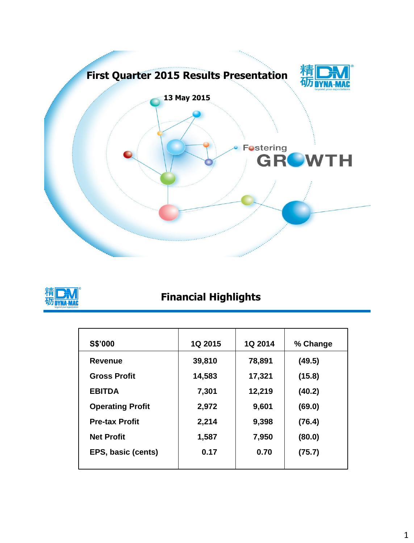



### **Financial Highlights**

| <b>S\$'000</b>          | <b>1Q 2015</b> | <b>1Q 2014</b> | % Change |
|-------------------------|----------------|----------------|----------|
| Revenue                 | 39,810         | 78,891         | (49.5)   |
| <b>Gross Profit</b>     | 14,583         | 17,321         | (15.8)   |
| <b>EBITDA</b>           | 7,301          | 12,219         | (40.2)   |
| <b>Operating Profit</b> | 2,972          | 9,601          | (69.0)   |
| <b>Pre-tax Profit</b>   | 2,214          | 9,398          | (76.4)   |
| <b>Net Profit</b>       | 1,587          | 7,950          | (80.0)   |
| EPS, basic (cents)      | 0.17           | 0.70           | (75.7)   |
|                         |                |                |          |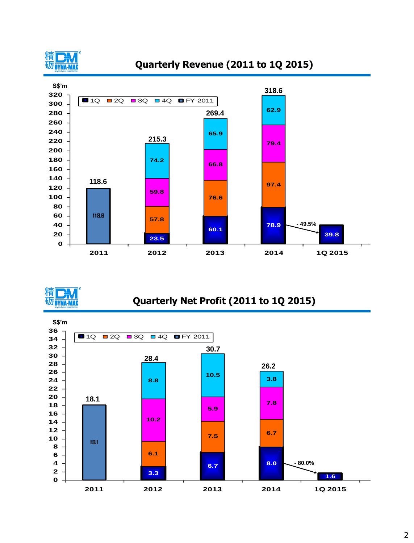

#### **Quarterly Revenue (2011 to 1Q 2015)**





#### **Quarterly Net Profit (2011 to 1Q 2015)**

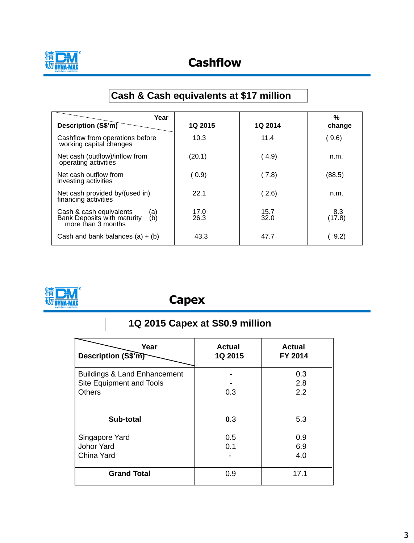

### **Cashflow**

# **Cash & Cash equivalents at \$17 million**

| Year                                                                                       |                |                | %             |
|--------------------------------------------------------------------------------------------|----------------|----------------|---------------|
| Description (S\$'m)                                                                        | <b>1Q 2015</b> | <b>1Q 2014</b> | change        |
| Cashflow from operations before<br>working capital changes                                 | 10.3           | 11.4           | 9.6)          |
| Net cash (outflow)/inflow from<br>operating activities                                     | (20.1)         | (4.9)          | n.m.          |
| Net cash outflow from<br>investing activities                                              | (0.9)          | ( 7.8)         | (88.5)        |
| Net cash provided by/(used in)<br>financing activities                                     | 22.1           | (2.6)          | n.m.          |
| Cash & cash equivalents<br>(a)<br>(b)<br>Bank Deposits with maturity<br>more than 3 months | 17.0<br>26.3   | 15.7<br>32.0   | 8.3<br>(17.8) |
| Cash and bank balances $(a) + (b)$                                                         | 43.3           | 47.7           | 9.2)          |



## **Capex**

| 1Q 2015 Capex at S\$0.9 million         |                          |                          |  |  |
|-----------------------------------------|--------------------------|--------------------------|--|--|
| Year<br>Description (S\$'m)             | <b>Actual</b><br>1Q 2015 | <b>Actual</b><br>FY 2014 |  |  |
| <b>Buildings &amp; Land Enhancement</b> |                          | 0.3                      |  |  |
| Site Equipment and Tools                |                          | 2.8                      |  |  |
| <b>Others</b>                           | 0.3                      | 2.2                      |  |  |
| Sub-total                               | 0.3                      | 5.3                      |  |  |
|                                         |                          |                          |  |  |
| Singapore Yard                          | 0.5                      | 0.9                      |  |  |
| <b>Johor Yard</b>                       | 0.1                      | 6.9                      |  |  |
| China Yard                              |                          | 4.0                      |  |  |
| <b>Grand Total</b>                      | 0.9                      | 17.1                     |  |  |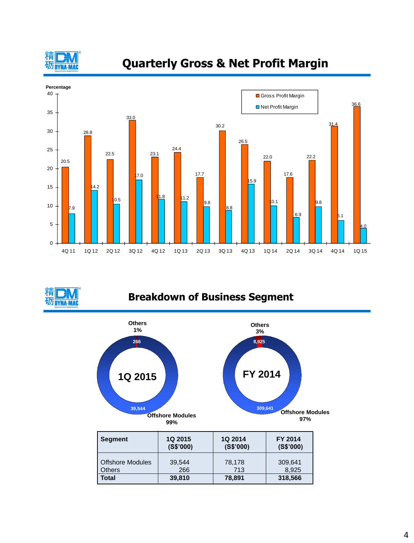

### **Quarterly Gross & Net Profit Margin**



**DYNA-MAC** 

#### **Breakdown of Business Segment**

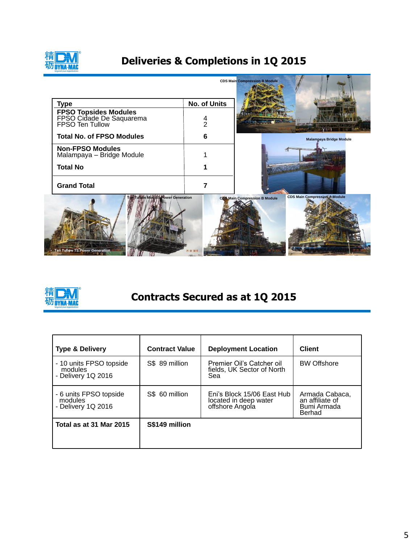

# **Deliveries & Completions in 1Q 2015**

|                                                                             |              | <b>CDS Main Compression B Module</b> |                                      |
|-----------------------------------------------------------------------------|--------------|--------------------------------------|--------------------------------------|
| <b>Type</b>                                                                 | No. of Units |                                      |                                      |
| FPSO Topsides Modules<br>FPSO Cidade De Saquarema<br>FPSO Ten Tullow        | 4<br>2       |                                      |                                      |
| <b>Total No. of FPSO Modules</b>                                            | 6            |                                      | <b>Malampaya Bridge Module</b>       |
| <b>Non-FPSO Modules</b><br>Malampaya - Bridge Module                        |              |                                      |                                      |
| <b>Total No</b>                                                             |              |                                      |                                      |
| <b>Grand Total</b>                                                          | 7            |                                      |                                      |
| Ten Tullow Mod BS Power Generation<br><b>Ten Tullow TS Power Generation</b> | 21 01 2015   | <b>CDS Main Compression B Module</b> | <b>CDS Main Compression A Module</b> |



## **Contracts Secured as at 1Q 2015**

| <b>Type &amp; Delivery</b>                               | <b>Contract Value</b> | <b>Deployment Location</b>                                             | <b>Client</b>                                              |
|----------------------------------------------------------|-----------------------|------------------------------------------------------------------------|------------------------------------------------------------|
| - 10 units FPSO topside<br>modules<br>- Delivery 1Q 2016 | S\$ 89 million        | Premier Oil's Catcher oil<br>fields, UK Sector of North<br>Sea         | <b>BW Offshore</b>                                         |
| - 6 units FPSO topside<br>modules<br>- Delivery 1Q 2016  | S\$ 60 million        | Eni's Block 15/06 East Hub<br>located in deep water<br>offshore Angola | Armada Cabaca,<br>an affiliate of<br>Bumi Armada<br>Berhad |
| Total as at 31 Mar 2015                                  | S\$149 million        |                                                                        |                                                            |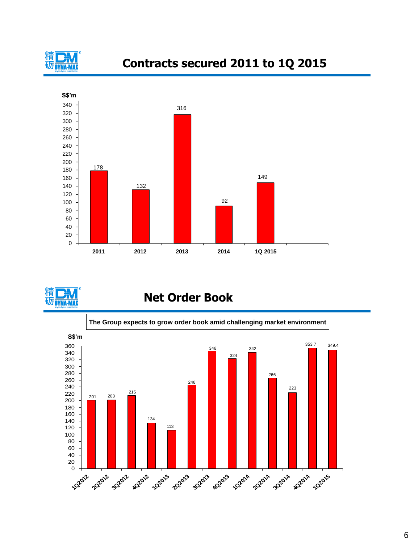

### **Contracts secured 2011 to 1Q 2015**





#### **Net Order Book**

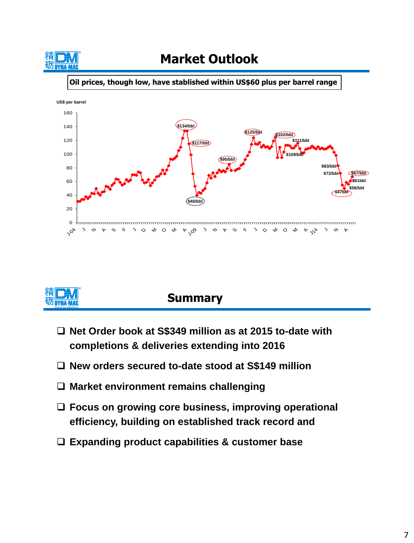

# **Market Outlook**

**Oil prices, though low, have stablished within US\$60 plus per barrel range**





### **Summary**

- **Net Order book at S\$349 million as at 2015 to-date with completions & deliveries extending into 2016**
- **New orders secured to-date stood at S\$149 million**
- **Market environment remains challenging**
- **Focus on growing core business, improving operational efficiency, building on established track record and**
- **Expanding product capabilities & customer base**